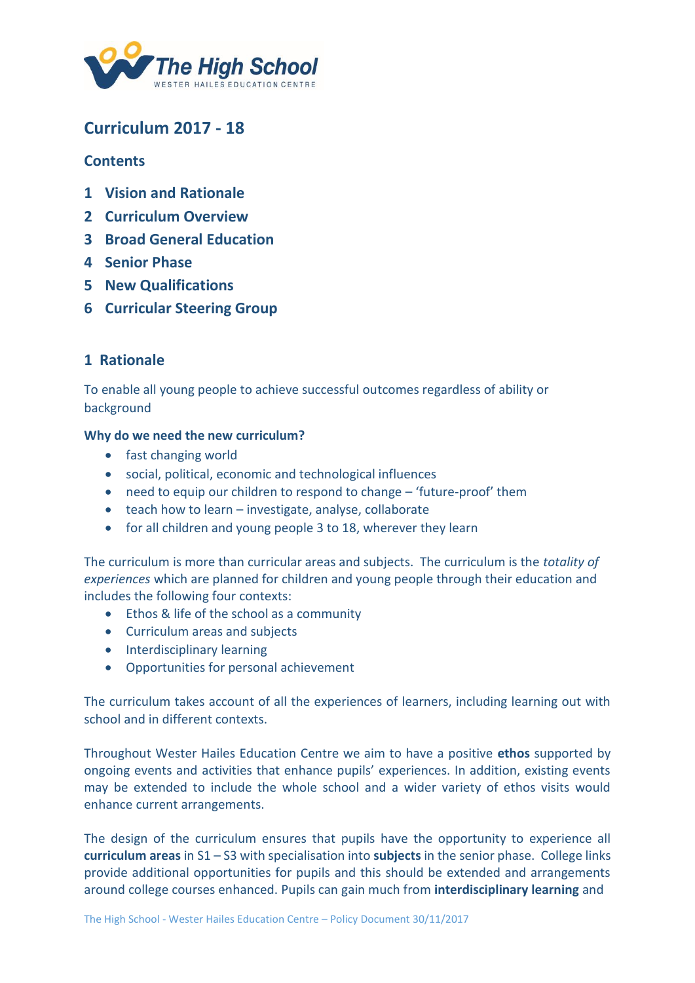

# **Curriculum 2017 - 18**

### **Contents**

- **1 Vision and Rationale**
- **2 [Curriculum Overview](#page-1-0)**
- **3 [Broad General Education](#page-2-0)**
- **4 [Senior Phase](#page-4-0)**
- **5 [New Qualifications](#page-5-0)**
- **6 [Curricular Steering Group](#page-6-0)**

### **1 Rationale**

To enable all young people to achieve successful outcomes regardless of ability or background

#### **Why do we need the new curriculum?**

- fast changing world
- social, political, economic and technological influences
- need to equip our children to respond to change 'future-proof' them
- teach how to learn investigate, analyse, collaborate
- for all children and young people 3 to 18, wherever they learn

The curriculum is more than curricular areas and subjects. The curriculum is the *totality of experiences* which are planned for children and young people through their education and includes the following four contexts:

- Ethos & life of the school as a community
- Curriculum areas and subjects
- Interdisciplinary learning
- Opportunities for personal achievement

The curriculum takes account of all the experiences of learners, including learning out with school and in different contexts.

Throughout Wester Hailes Education Centre we aim to have a positive **ethos** supported by ongoing events and activities that enhance pupils' experiences. In addition, existing events may be extended to include the whole school and a wider variety of ethos visits would enhance current arrangements.

The design of the curriculum ensures that pupils have the opportunity to experience all **curriculum areas** in S1 – S3 with specialisation into **subjects** in the senior phase. College links provide additional opportunities for pupils and this should be extended and arrangements around college courses enhanced. Pupils can gain much from **interdisciplinary learning** and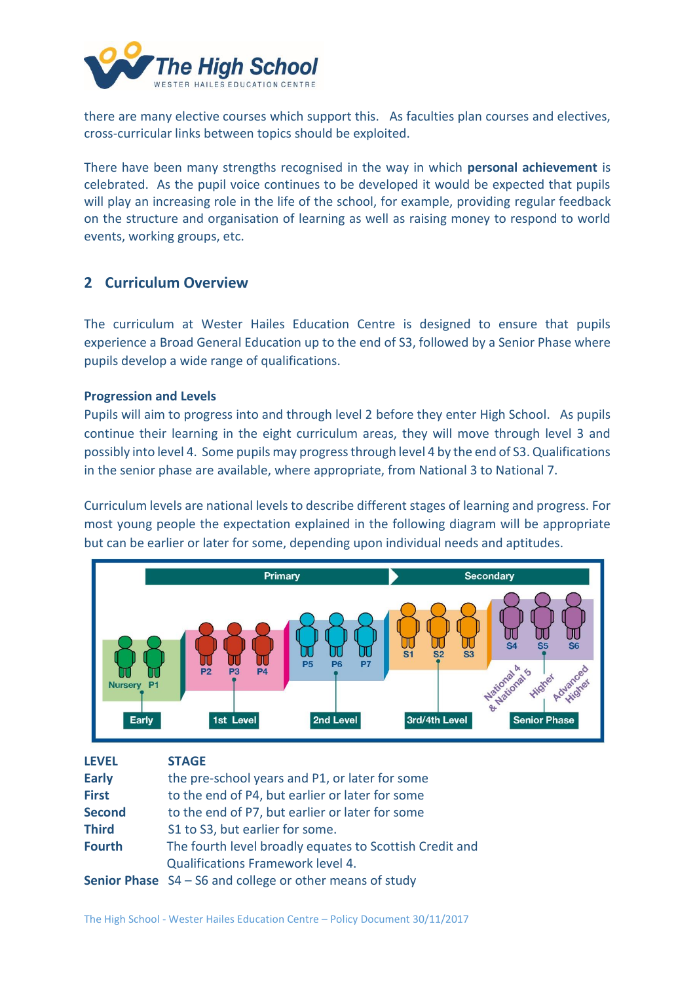<span id="page-1-0"></span>

there are many elective courses which support this. As faculties plan courses and electives, cross-curricular links between topics should be exploited.

There have been many strengths recognised in the way in which **personal achievement** is celebrated. As the pupil voice continues to be developed it would be expected that pupils will play an increasing role in the life of the school, for example, providing regular feedback on the structure and organisation of learning as well as raising money to respond to world events, working groups, etc.

### **2 Curriculum Overview**

The curriculum at Wester Hailes Education Centre is designed to ensure that pupils experience a Broad General Education up to the end of S3, followed by a Senior Phase where pupils develop a wide range of qualifications.

#### **Progression and Levels**

Pupils will aim to progress into and through level 2 before they enter High School. As pupils continue their learning in the eight curriculum areas, they will move through level 3 and possibly into level 4. Some pupils may progress through level 4 by the end of S3. Qualifications in the senior phase are available, where appropriate, from National 3 to National 7.

Curriculum levels are national levels to describe different stages of learning and progress. For most young people the expectation explained in the following diagram will be appropriate but can be earlier or later for some, depending upon individual needs and aptitudes.



| <b>LEVEL</b>  | <b>STAGE</b>                                                      |
|---------------|-------------------------------------------------------------------|
| <b>Early</b>  | the pre-school years and P1, or later for some                    |
| <b>First</b>  | to the end of P4, but earlier or later for some                   |
| <b>Second</b> | to the end of P7, but earlier or later for some                   |
| <b>Third</b>  | S1 to S3, but earlier for some.                                   |
| <b>Fourth</b> | The fourth level broadly equates to Scottish Credit and           |
|               | <b>Qualifications Framework level 4.</b>                          |
|               | <b>Senior Phase</b> $S4 - S6$ and college or other means of study |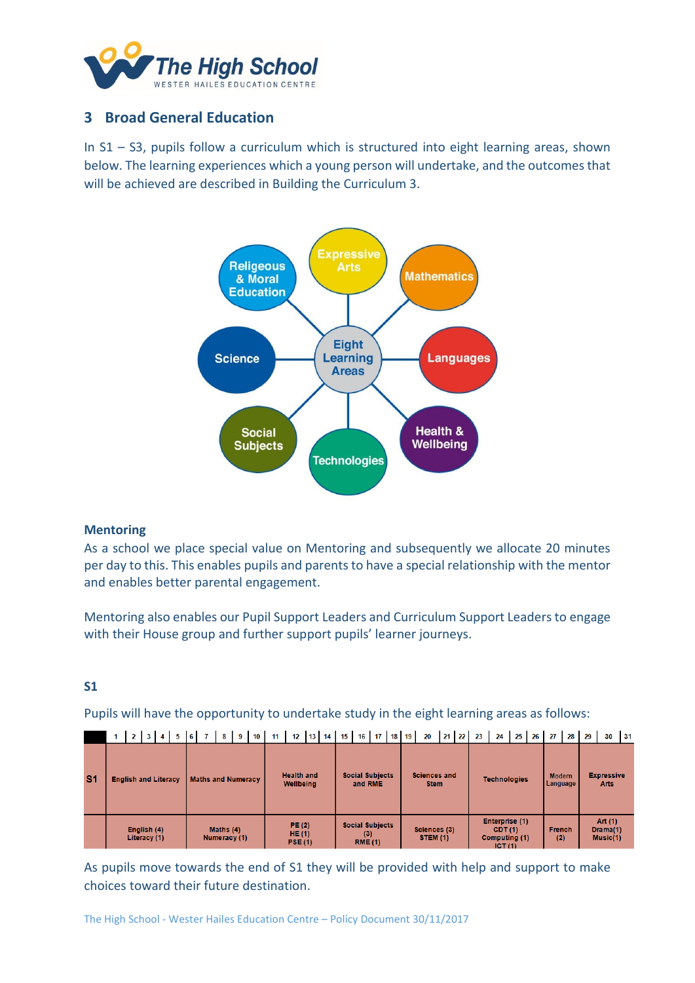<span id="page-2-0"></span>

### **3 Broad General Education**

In S1 – S3, pupils follow a curriculum which is structured into eight learning areas, shown below. The learning experiences which a young person will undertake, and the outcomes that will be achieved are described in Building the Curriculum 3.



#### **Mentoring**

As a school we place special value on Mentoring and subsequently we allocate 20 minutes per day to this. This enables pupils and parents to have a special relationship with the mentor and enables better parental engagement.

Mentoring also enables our Pupil Support Leaders and Curriculum Support Leaders to engage with their House group and further support pupils' learner journeys.

### **S1**

Pupils will have the opportunity to undertake study in the eight learning areas as follows:

| S <sub>1</sub> | <b>English and Literacy</b> | <b>Maths and Numeracy</b>   | <b>Health and</b><br><b>Wellbeing</b> | <b>Social Subjects</b><br>and RME               | <b>Sciences and</b><br><b>Stem</b> | <b>Technologies</b>                                 | <b>Modern</b><br>Language | <b>Expressive</b><br><b>Arts</b> |
|----------------|-----------------------------|-----------------------------|---------------------------------------|-------------------------------------------------|------------------------------------|-----------------------------------------------------|---------------------------|----------------------------------|
|                | English (4)<br>Literacy (1) | Maths $(4)$<br>Numeracy (1) |                                       | <b>Social Subjects</b><br>(3)<br><b>RME (1)</b> | Sciences (3)<br><b>STEM (1)</b>    | Enterprise (1)<br>CDT(1)<br>Computing (1)<br>ICT(1) | <b>French</b><br>(2)      | Art (1)<br>Drama(1)<br>Music(1)  |

1 | 2 | 3 | 4 | 5 | 6 | 7 | 8 | 9 | 10 | 11 | 12 | 13 | 14 | 15 | 16 | 17 | 18 | 19 | 20 | 21 | 22 | 23 | 24 | 25 | 26 | 27 | 28 | 29 | 30 | 31

As pupils move towards the end of S1 they will be provided with help and support to make choices toward their future destination.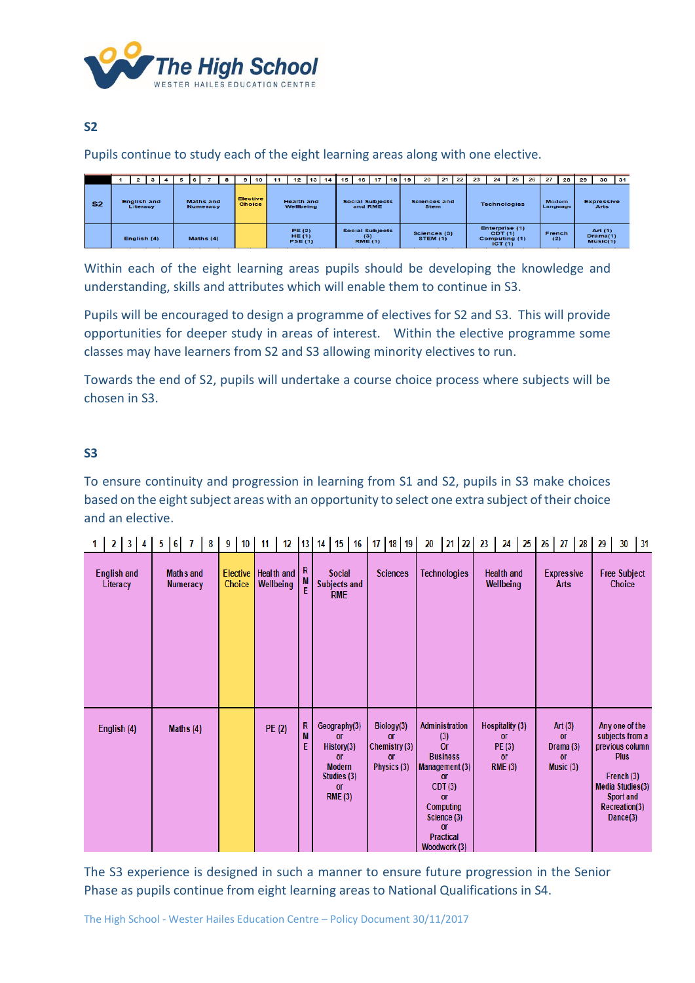

### **S2**

Pupils continue to study each of the eight learning areas along with one elective.

|                |  | $\mathbf{2}$                   | з |  | 6                                   |             | я | 9 | 10                               | 11 | 12                                 | 13 <sup>1</sup> | 14 | 15 | 16                                              | 17 | 18 I | 19 | 20                                 | 21 | $\overline{22}$ | 23 | 24                                                  | 25 | 26 | 27                        | 28 | 29 | 30                                | 31 |
|----------------|--|--------------------------------|---|--|-------------------------------------|-------------|---|---|----------------------------------|----|------------------------------------|-----------------|----|----|-------------------------------------------------|----|------|----|------------------------------------|----|-----------------|----|-----------------------------------------------------|----|----|---------------------------|----|----|-----------------------------------|----|
| S <sub>2</sub> |  | <b>English and</b><br>Literacy |   |  | <b>Maths</b> and<br><b>Numeracy</b> |             |   |   | <b>Elective</b><br><b>Choice</b> |    | <b>Health and</b><br>Wellbeing     |                 |    |    | <b>Social Subjects</b><br>and RME               |    |      |    | <b>Sciences and</b><br><b>Stem</b> |    |                 |    | <b>Technologies</b>                                 |    |    | <b>Modern</b><br>Language |    |    | <b>Expressive</b><br>Arts         |    |
|                |  | English (4)                    |   |  |                                     | Maths $(4)$ |   |   |                                  |    | PE(2)<br>HE $(1)$<br><b>PSE(1)</b> |                 |    |    | <b>Social Subjects</b><br>(3)<br><b>RME (1)</b> |    |      |    | Sciences (3)<br><b>STEM (1)</b>    |    |                 |    | Enterprise (1)<br>CDT(1)<br>Computing (1)<br>ICT(1) |    |    | French<br>(2)             |    |    | Art $(1)$<br>Drama(1)<br>Music(1) |    |

Within each of the eight learning areas pupils should be developing the knowledge and understanding, skills and attributes which will enable them to continue in S3.

Pupils will be encouraged to design a programme of electives for S2 and S3. This will provide opportunities for deeper study in areas of interest. Within the elective programme some classes may have learners from S2 and S3 allowing minority electives to run.

Towards the end of S2, pupils will undertake a course choice process where subjects will be chosen in S3.

### **S3**

To ensure continuity and progression in learning from S1 and S2, pupils in S3 make choices based on the eight subject areas with an opportunity to select one extra subject of their choice and an elective.

|  | 2   3   4   5   6              |             |  | $\mathbf{7}$                 | 8 <sup>°</sup> | 9 <sup>1</sup> | 10 <sub>1</sub>           | 11 |                                |             | 12   13   14   15   16   17   18   19                                                                        |                 |                                                     |               | 20                  |                                                                                                                | $21 \ 22 \ 23$                                                         |                                |                                                                       | $24$ $25$ $26$ |                           | 27                                                            | 28 | 29                                   | 30                                                                                                                                              | 31 |
|--|--------------------------------|-------------|--|------------------------------|----------------|----------------|---------------------------|----|--------------------------------|-------------|--------------------------------------------------------------------------------------------------------------|-----------------|-----------------------------------------------------|---------------|---------------------|----------------------------------------------------------------------------------------------------------------|------------------------------------------------------------------------|--------------------------------|-----------------------------------------------------------------------|----------------|---------------------------|---------------------------------------------------------------|----|--------------------------------------|-------------------------------------------------------------------------------------------------------------------------------------------------|----|
|  | <b>English and</b><br>Literacy |             |  | <b>Maths and</b><br>Numeracy |                |                | <b>Elective</b><br>Choice |    | <b>Health and</b><br>Wellbeing | R<br>M<br>Ė | <b>Social</b><br>Subjects and<br><b>RME</b>                                                                  | <b>Sciences</b> |                                                     |               | <b>Technologies</b> |                                                                                                                |                                                                        | <b>Health and</b><br>Wellbeing |                                                                       |                | <b>Expressive</b><br>Arts |                                                               |    | <b>Free Subject</b><br><b>Choice</b> |                                                                                                                                                 |    |
|  | English (4)                    | Maths $(4)$ |  |                              |                |                |                           |    | <b>PE (2)</b>                  | R<br>M<br>E | Geography(3)<br>or<br>History(3)<br><b>or</b><br><b>Modern</b><br>Studies (3)<br><b>or</b><br><b>RME (3)</b> |                 | Biology(3)<br><b>or</b><br><b>or</b><br>Physics (3) | Chemistry (3) |                     | (3)<br><b>Or</b><br><b>Business</b><br>or<br>CDT(3)<br><b>or</b><br>Computing<br><b>or</b><br><b>Practical</b> | <b>Administration</b><br>Management (3)<br>Science (3)<br>Woodwork (3) |                                | Hospitality (3)<br><b>or</b><br>PE (3)<br><b>or</b><br><b>RME (3)</b> |                |                           | Art $(3)$<br><b>or</b><br>Drama (3)<br><b>or</b><br>Music (3) |    |                                      | Any one of the<br>subjects from a<br>previous column<br><b>Plus</b><br>French (3)<br>Media Studies(3)<br>Sport and<br>Recreation(3)<br>Dance(3) |    |

The S3 experience is designed in such a manner to ensure future progression in the Senior Phase as pupils continue from eight learning areas to National Qualifications in S4.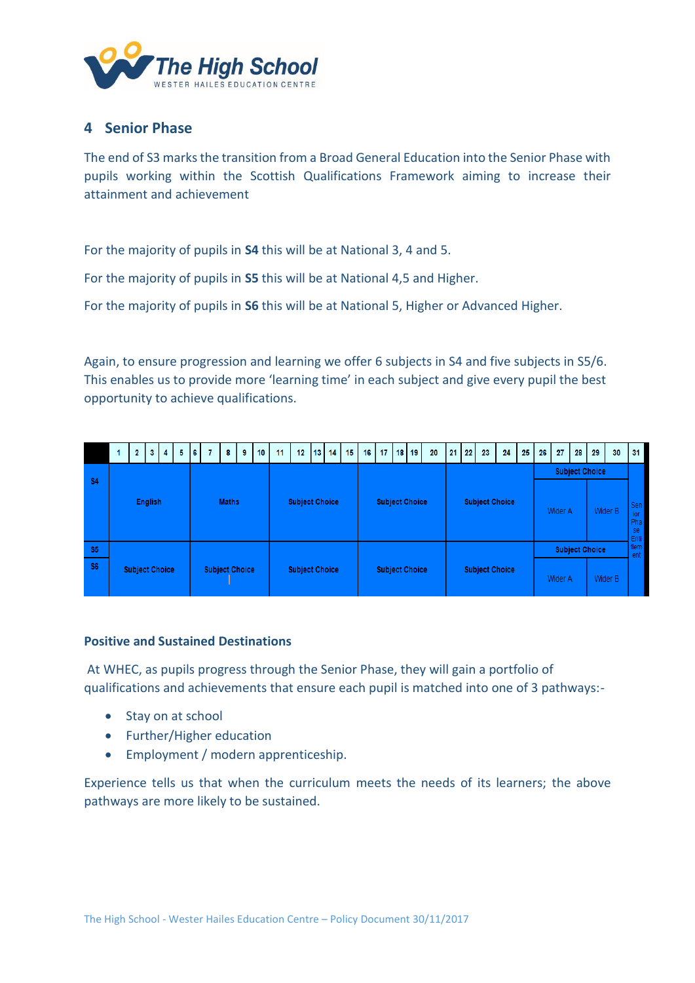<span id="page-4-0"></span>

### **4 Senior Phase**

The end of S3 marks the transition from a Broad General Education into the Senior Phase with pupils working within the Scottish Qualifications Framework aiming to increase their attainment and achievement

For the majority of pupils in **S4** this will be at National 3, 4 and 5.

For the majority of pupils in **S5** this will be at National 4,5 and Higher.

For the majority of pupils in **S6** this will be at National 5, Higher or Advanced Higher.

Again, to ensure progression and learning we offer 6 subjects in S4 and five subjects in S5/6. This enables us to provide more 'learning time' in each subject and give every pupil the best opportunity to achieve qualifications.

|                             |                | 2                                              | 3 <sup>1</sup> | $\overline{4}$ | 5 | 6 | 7 | 8                     | 9 | 10 | 11                    | 12 | $13 \mid 14$          |  | 15 | 16 | 17 <sup>1</sup> |                       | $18$   19 | 20                    |  | $21 \quad 22$ | 23                    | 24 | 25                               | 26 | 27                        | 28                               | 29 | 30 | 31                |
|-----------------------------|----------------|------------------------------------------------|----------------|----------------|---|---|---|-----------------------|---|----|-----------------------|----|-----------------------|--|----|----|-----------------|-----------------------|-----------|-----------------------|--|---------------|-----------------------|----|----------------------------------|----|---------------------------|----------------------------------|----|----|-------------------|
| \$4                         | <b>English</b> |                                                |                |                |   |   |   | <b>Maths</b>          |   |    | <b>Subject Choice</b> |    |                       |  |    |    |                 | <b>Subject Choice</b> |           |                       |  |               | <b>Subject Choice</b> |    |                                  |    |                           | <b>Subject Choice</b><br>Wider A |    |    | Sen<br>ior<br>Pha |
| <b>S5</b><br>S <sub>6</sub> |                | <b>Subject Choice</b><br><b>Subject Choice</b> |                |                |   |   |   | <b>Subject Choice</b> |   |    |                       |    | <b>Subject Choice</b> |  |    |    |                 |                       |           | <b>Subject Choice</b> |  |               | Wider A               |    | <b>Subject Choice</b><br>Wider B |    | se<br>Enti<br>tlem<br>ent |                                  |    |    |                   |

#### **Positive and Sustained Destinations**

At WHEC, as pupils progress through the Senior Phase, they will gain a portfolio of qualifications and achievements that ensure each pupil is matched into one of 3 pathways:-

- Stay on at school
- Further/Higher education
- Employment / modern apprenticeship.

Experience tells us that when the curriculum meets the needs of its learners; the above pathways are more likely to be sustained.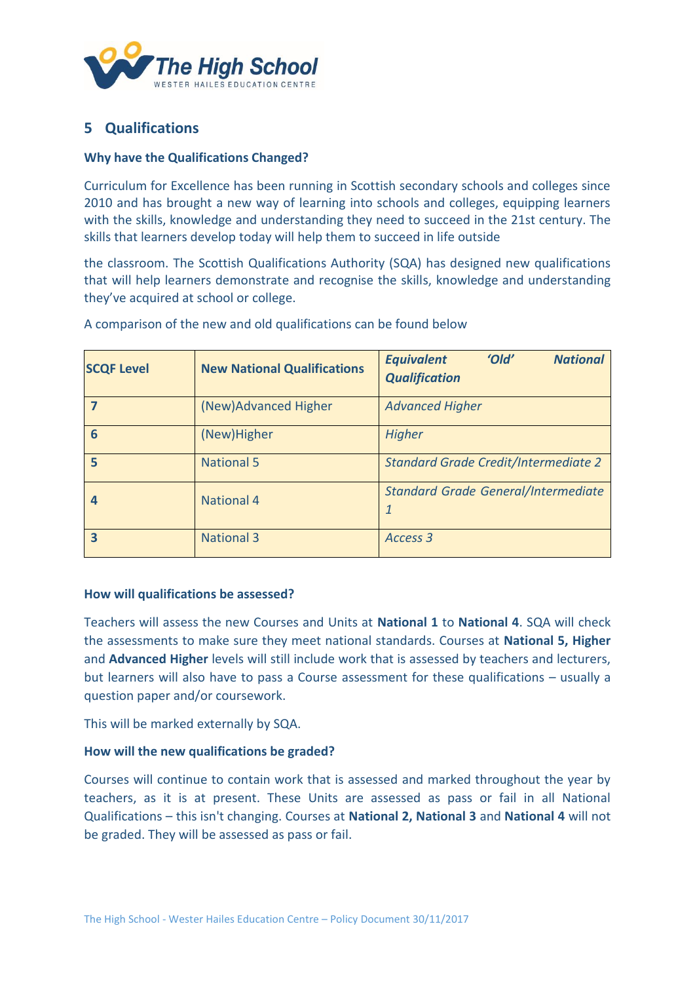<span id="page-5-0"></span>

## **5 Qualifications**

### **Why have the Qualifications Changed?**

Curriculum for Excellence has been running in Scottish secondary schools and colleges since 2010 and has brought a new way of learning into schools and colleges, equipping learners with the skills, knowledge and understanding they need to succeed in the 21st century. The skills that learners develop today will help them to succeed in life outside

the classroom. The Scottish Qualifications Authority (SQA) has designed new qualifications that will help learners demonstrate and recognise the skills, knowledge and understanding they've acquired at school or college.

| <b>SCQF Level</b> | <b>New National Qualifications</b> | <b>Equivalent</b><br>'Old'<br><b>National</b><br><b>Qualification</b> |
|-------------------|------------------------------------|-----------------------------------------------------------------------|
|                   | (New)Advanced Higher               | <b>Advanced Higher</b>                                                |
| 6                 | (New)Higher                        | <b>Higher</b>                                                         |
| 5                 | <b>National 5</b>                  | <b>Standard Grade Credit/Intermediate 2</b>                           |
|                   | <b>National 4</b>                  | <b>Standard Grade General/Intermediate</b><br>1                       |
| 3                 | <b>National 3</b>                  | Access 3                                                              |

A comparison of the new and old qualifications can be found below

#### **How will qualifications be assessed?**

Teachers will assess the new Courses and Units at **National 1** to **National 4**. SQA will check the assessments to make sure they meet national standards. Courses at **National 5, Higher**  and **Advanced Higher** levels will still include work that is assessed by teachers and lecturers, but learners will also have to pass a Course assessment for these qualifications – usually a question paper and/or coursework.

This will be marked externally by SQA.

#### **How will the new qualifications be graded?**

Courses will continue to contain work that is assessed and marked throughout the year by teachers, as it is at present. These Units are assessed as pass or fail in all National Qualifications – this isn't changing. Courses at **National 2, National 3** and **National 4** will not be graded. They will be assessed as pass or fail.